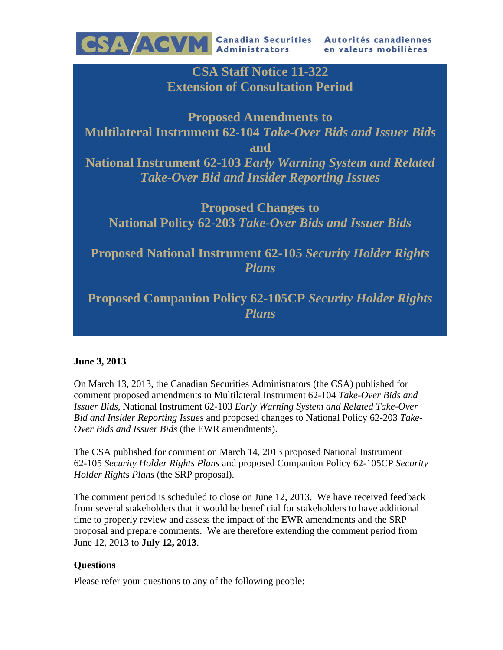

**CSA Staff Notice 11-322 Extension of Consultation Period** 

**Proposed Amendments to Multilateral Instrument 62-104** *Take-Over Bids and Issuer Bids* **and National Instrument 62-103** *Early Warning System and Related Take-Over Bid and Insider Reporting Issues*

**Proposed Changes to National Policy 62-203** *Take-Over Bids and Issuer Bids* 

**Proposed National Instrument 62-105** *Security Holder Rights Plans* 

**Proposed Companion Policy 62-105CP** *Security Holder Rights Plans*

## **June 3, 2013**

On March 13, 2013, the Canadian Securities Administrators (the CSA) published for comment proposed amendments to Multilateral Instrument 62-104 *Take-Over Bids and Issuer Bids*, National Instrument 62-103 *Early Warning System and Related Take-Over Bid and Insider Reporting Issues* and proposed changes to National Policy 62-203 *Take-Over Bids and Issuer Bids* (the EWR amendments).

The CSA published for comment on March 14, 2013 proposed National Instrument 62-105 *Security Holder Rights Plans* and proposed Companion Policy 62-105CP *Security Holder Rights Plans* (the SRP proposal).

The comment period is scheduled to close on June 12, 2013. We have received feedback from several stakeholders that it would be beneficial for stakeholders to have additional time to properly review and assess the impact of the EWR amendments and the SRP proposal and prepare comments. We are therefore extending the comment period from June 12, 2013 to **July 12, 2013**.

## **Questions**

Please refer your questions to any of the following people: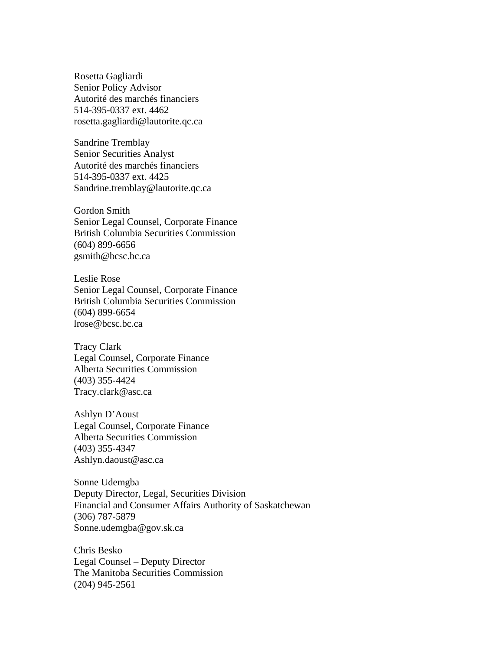Rosetta Gagliardi Senior Policy Advisor Autorité des marchés financiers 514-395-0337 ext. 4462 rosetta.gagliardi@lautorite.qc.ca

Sandrine Tremblay Senior Securities Analyst Autorité des marchés financiers 514-395-0337 ext. 4425 Sandrine.tremblay@lautorite.qc.ca

Gordon Smith Senior Legal Counsel, Corporate Finance British Columbia Securities Commission (604) 899-6656 gsmith@bcsc.bc.ca

Leslie Rose Senior Legal Counsel, Corporate Finance British Columbia Securities Commission (604) 899-6654 lrose@bcsc.bc.ca

Tracy Clark Legal Counsel, Corporate Finance Alberta Securities Commission (403) 355-4424 Tracy.clark@asc.ca

Ashlyn D'Aoust Legal Counsel, Corporate Finance Alberta Securities Commission (403) 355-4347 Ashlyn.daoust@asc.ca

Sonne Udemgba Deputy Director, Legal, Securities Division Financial and Consumer Affairs Authority of Saskatchewan (306) 787-5879 Sonne.udemgba@gov.sk.ca

Chris Besko Legal Counsel – Deputy Director The Manitoba Securities Commission (204) 945-2561